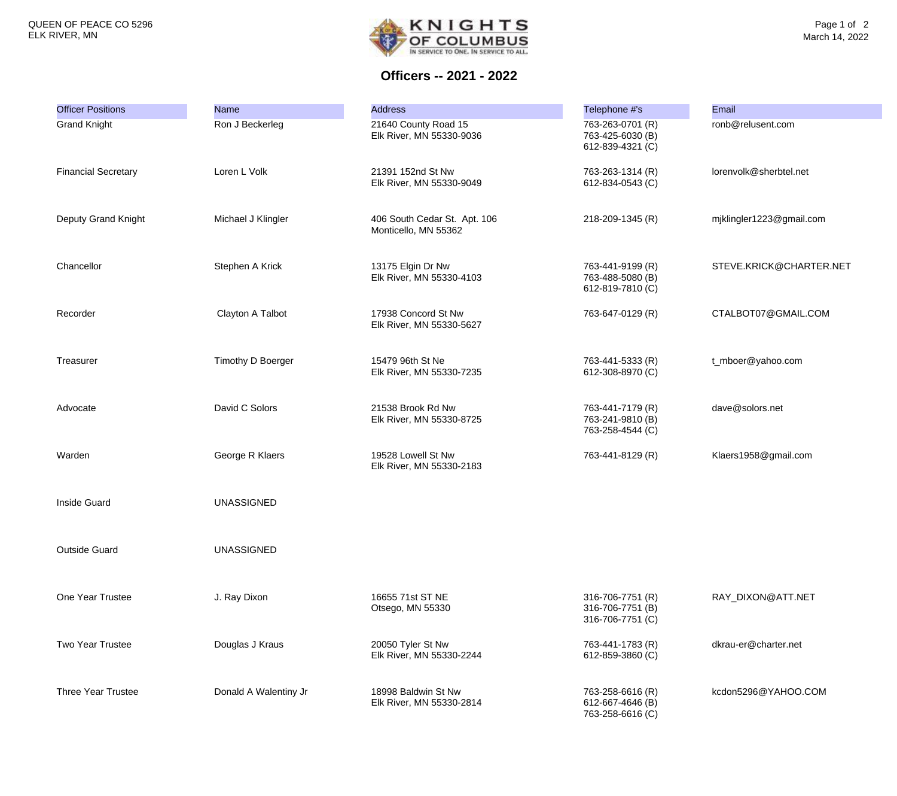

**Officers -- 2021 - 2022**

| <b>Officer Positions</b>   | <b>Name</b>           | <b>Address</b>                                       | Telephone #'s                                            | Email                    |
|----------------------------|-----------------------|------------------------------------------------------|----------------------------------------------------------|--------------------------|
| <b>Grand Knight</b>        | Ron J Beckerleg       | 21640 County Road 15<br>Elk River, MN 55330-9036     | 763-263-0701 (R)<br>763-425-6030 (B)<br>612-839-4321 (C) | ronb@relusent.com        |
| <b>Financial Secretary</b> | Loren L Volk          | 21391 152nd St Nw<br>Elk River, MN 55330-9049        | 763-263-1314 (R)<br>612-834-0543 (C)                     | lorenvolk@sherbtel.net   |
| Deputy Grand Knight        | Michael J Klingler    | 406 South Cedar St. Apt. 106<br>Monticello, MN 55362 | 218-209-1345 (R)                                         | mjklingler1223@gmail.com |
| Chancellor                 | Stephen A Krick       | 13175 Elgin Dr Nw<br>Elk River, MN 55330-4103        | 763-441-9199 (R)<br>763-488-5080 (B)<br>612-819-7810 (C) | STEVE.KRICK@CHARTER.NET  |
| Recorder                   | Clayton A Talbot      | 17938 Concord St Nw<br>Elk River, MN 55330-5627      | 763-647-0129 (R)                                         | CTALBOT07@GMAIL.COM      |
| Treasurer                  | Timothy D Boerger     | 15479 96th St Ne<br>Elk River, MN 55330-7235         | 763-441-5333 (R)<br>612-308-8970 (C)                     | t_mboer@yahoo.com        |
| Advocate                   | David C Solors        | 21538 Brook Rd Nw<br>Elk River, MN 55330-8725        | 763-441-7179 (R)<br>763-241-9810 (B)<br>763-258-4544 (C) | dave@solors.net          |
| Warden                     | George R Klaers       | 19528 Lowell St Nw<br>Elk River, MN 55330-2183       | 763-441-8129 (R)                                         | Klaers1958@gmail.com     |
| <b>Inside Guard</b>        | <b>UNASSIGNED</b>     |                                                      |                                                          |                          |
| <b>Outside Guard</b>       | <b>UNASSIGNED</b>     |                                                      |                                                          |                          |
| One Year Trustee           | J. Ray Dixon          | 16655 71st ST NE<br>Otsego, MN 55330                 | 316-706-7751 (R)<br>316-706-7751 (B)<br>316-706-7751 (C) | RAY_DIXON@ATT.NET        |
| <b>Two Year Trustee</b>    | Douglas J Kraus       | 20050 Tyler St Nw<br>Elk River, MN 55330-2244        | 763-441-1783 (R)<br>612-859-3860 (C)                     | dkrau-er@charter.net     |
| <b>Three Year Trustee</b>  | Donald A Walentiny Jr | 18998 Baldwin St Nw<br>Elk River, MN 55330-2814      | 763-258-6616 (R)<br>612-667-4646 (B)<br>763-258-6616 (C) | kcdon5296@YAHOO.COM      |